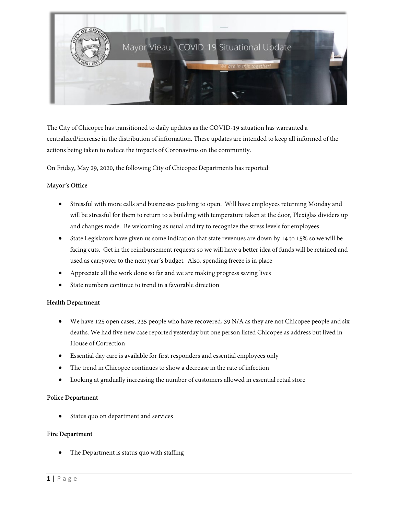

The City of Chicopee has transitioned to daily updates as the COVID-19 situation has warranted a centralized/increase in the distribution of information. These updates are intended to keep all informed of the actions being taken to reduce the impacts of Coronavirus on the community.

On Friday, May 29, 2020, the following City of Chicopee Departments has reported:

### M**ayor's Office**

- Stressful with more calls and businesses pushing to open. Will have employees returning Monday and will be stressful for them to return to a building with temperature taken at the door, Plexiglas dividers up and changes made. Be welcoming as usual and try to recognize the stress levels for employees
- State Legislators have given us some indication that state revenues are down by 14 to 15% so we will be facing cuts. Get in the reimbursement requests so we will have a better idea of funds will be retained and used as carryover to the next year's budget. Also, spending freeze is in place
- Appreciate all the work done so far and we are making progress saving lives
- State numbers continue to trend in a favorable direction

# **Health Department**

- We have 125 open cases, 235 people who have recovered, 39 N/A as they are not Chicopee people and six deaths. We had five new case reported yesterday but one person listed Chicopee as address but lived in House of Correction
- Essential day care is available for first responders and essential employees only
- The trend in Chicopee continues to show a decrease in the rate of infection
- Looking at gradually increasing the number of customers allowed in essential retail store

# **Police Department**

Status quo on department and services

#### **Fire Department**

The Department is status quo with staffing